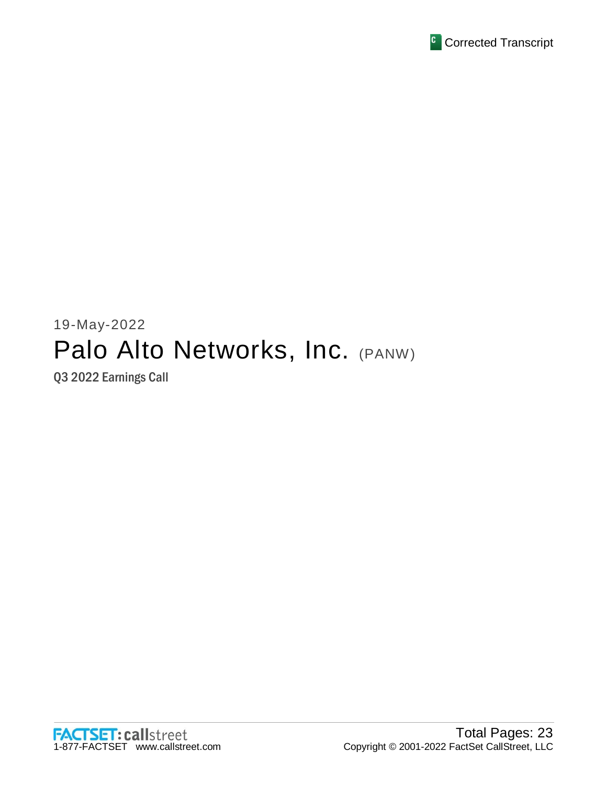

# 19-May-2022 Palo Alto Networks, Inc. (PANW)

Q3 2022 Earnings Call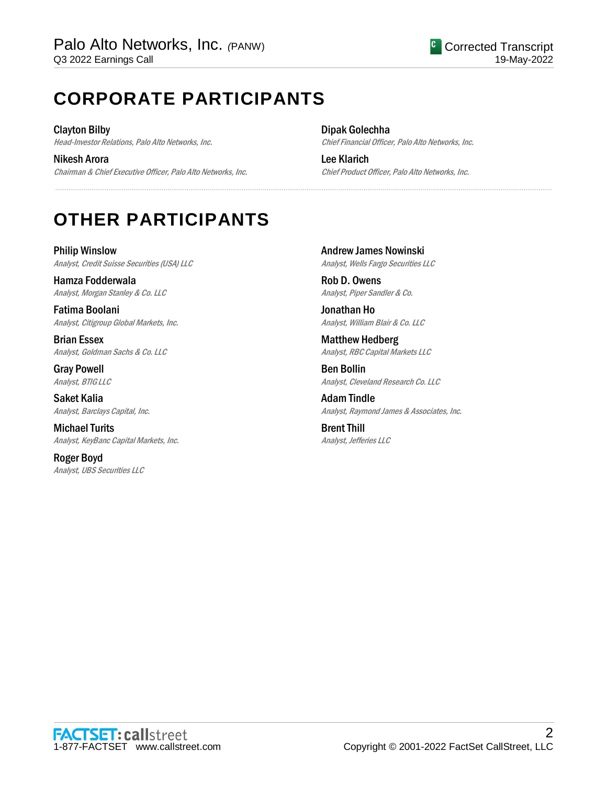# **CORPORATE PARTICIPANTS**

Clayton Bilby Head-Investor Relations, Palo Alto Networks, Inc.

Nikesh Arora Chairman & Chief Executive Officer, Palo Alto Networks, Inc. Dipak Golechha Chief Financial Officer, Palo Alto Networks, Inc.

Lee Klarich Chief Product Officer, Palo Alto Networks, Inc.

# **OTHER PARTICIPANTS**

Philip Winslow Analyst, Credit Suisse Securities (USA) LLC

Hamza Fodderwala Analyst, Morgan Stanley & Co. LLC

Fatima Boolani Analyst, Citigroup Global Markets, Inc.

Brian Essex Analyst, Goldman Sachs & Co. LLC

Gray Powell Analyst, BTIG LLC

Saket Kalia Analyst, Barclays Capital, Inc.

Michael Turits Analyst, KeyBanc Capital Markets, Inc.

Roger Boyd Analyst, UBS Securities LLC Andrew James Nowinski Analyst, Wells Fargo Securities LLC

Rob D. Owens Analyst, Piper Sandler & Co.

.....................................................................................................................................................................................................................................................................

Jonathan Ho Analyst, William Blair & Co. LLC

Matthew Hedberg Analyst, RBC Capital Markets LLC

Ben Bollin Analyst, Cleveland Research Co. LLC

Adam Tindle Analyst, Raymond James & Associates, Inc.

Brent Thill Analyst, Jefferies LLC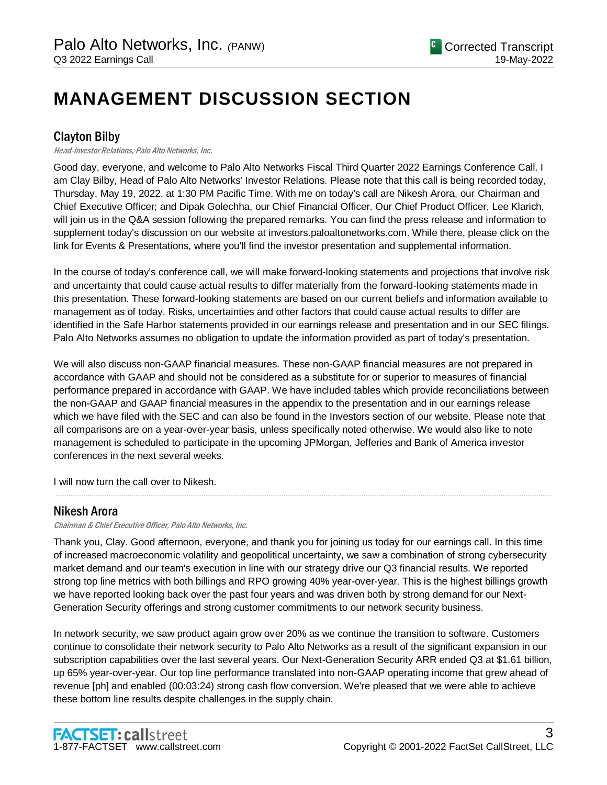# **MANAGEMENT DISCUSSION SECTION**

# Clayton Bilby

Head-Investor Relations, Palo Alto Networks, Inc.

Good day, everyone, and welcome to Palo Alto Networks Fiscal Third Quarter 2022 Earnings Conference Call. I am Clay Bilby, Head of Palo Alto Networks' Investor Relations. Please note that this call is being recorded today, Thursday, May 19, 2022, at 1:30 PM Pacific Time. With me on today's call are Nikesh Arora, our Chairman and Chief Executive Officer; and Dipak Golechha, our Chief Financial Officer. Our Chief Product Officer, Lee Klarich, will join us in the Q&A session following the prepared remarks. You can find the press release and information to supplement today's discussion on our website at investors.paloaltonetworks.com. While there, please click on the link for Events & Presentations, where you'll find the investor presentation and supplemental information.

In the course of today's conference call, we will make forward-looking statements and projections that involve risk and uncertainty that could cause actual results to differ materially from the forward-looking statements made in this presentation. These forward-looking statements are based on our current beliefs and information available to management as of today. Risks, uncertainties and other factors that could cause actual results to differ are identified in the Safe Harbor statements provided in our earnings release and presentation and in our SEC filings. Palo Alto Networks assumes no obligation to update the information provided as part of today's presentation.

We will also discuss non-GAAP financial measures. These non-GAAP financial measures are not prepared in accordance with GAAP and should not be considered as a substitute for or superior to measures of financial performance prepared in accordance with GAAP. We have included tables which provide reconciliations between the non-GAAP and GAAP financial measures in the appendix to the presentation and in our earnings release which we have filed with the SEC and can also be found in the Investors section of our website. Please note that all comparisons are on a year-over-year basis, unless specifically noted otherwise. We would also like to note management is scheduled to participate in the upcoming JPMorgan, Jefferies and Bank of America investor conferences in the next several weeks.

I will now turn the call over to Nikesh.

# Nikesh Arora

Chairman & Chief Executive Officer, Palo Alto Networks, Inc.

Thank you, Clay. Good afternoon, everyone, and thank you for joining us today for our earnings call. In this time of increased macroeconomic volatility and geopolitical uncertainty, we saw a combination of strong cybersecurity market demand and our team's execution in line with our strategy drive our Q3 financial results. We reported strong top line metrics with both billings and RPO growing 40% year-over-year. This is the highest billings growth we have reported looking back over the past four years and was driven both by strong demand for our Next-Generation Security offerings and strong customer commitments to our network security business.

.....................................................................................................................................................................................................................................................................

In network security, we saw product again grow over 20% as we continue the transition to software. Customers continue to consolidate their network security to Palo Alto Networks as a result of the significant expansion in our subscription capabilities over the last several years. Our Next-Generation Security ARR ended Q3 at \$1.61 billion, up 65% year-over-year. Our top line performance translated into non-GAAP operating income that grew ahead of revenue [ph] and enabled (00:03:24) strong cash flow conversion. We're pleased that we were able to achieve these bottom line results despite challenges in the supply chain.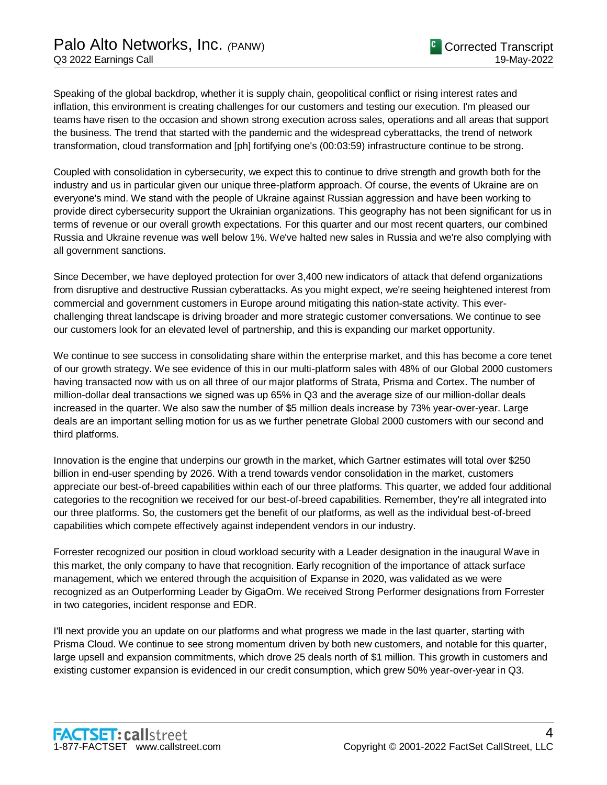Speaking of the global backdrop, whether it is supply chain, geopolitical conflict or rising interest rates and inflation, this environment is creating challenges for our customers and testing our execution. I'm pleased our teams have risen to the occasion and shown strong execution across sales, operations and all areas that support the business. The trend that started with the pandemic and the widespread cyberattacks, the trend of network transformation, cloud transformation and [ph] fortifying one's (00:03:59) infrastructure continue to be strong.

Coupled with consolidation in cybersecurity, we expect this to continue to drive strength and growth both for the industry and us in particular given our unique three-platform approach. Of course, the events of Ukraine are on everyone's mind. We stand with the people of Ukraine against Russian aggression and have been working to provide direct cybersecurity support the Ukrainian organizations. This geography has not been significant for us in terms of revenue or our overall growth expectations. For this quarter and our most recent quarters, our combined Russia and Ukraine revenue was well below 1%. We've halted new sales in Russia and we're also complying with all government sanctions.

Since December, we have deployed protection for over 3,400 new indicators of attack that defend organizations from disruptive and destructive Russian cyberattacks. As you might expect, we're seeing heightened interest from commercial and government customers in Europe around mitigating this nation-state activity. This everchallenging threat landscape is driving broader and more strategic customer conversations. We continue to see our customers look for an elevated level of partnership, and this is expanding our market opportunity.

We continue to see success in consolidating share within the enterprise market, and this has become a core tenet of our growth strategy. We see evidence of this in our multi-platform sales with 48% of our Global 2000 customers having transacted now with us on all three of our major platforms of Strata, Prisma and Cortex. The number of million-dollar deal transactions we signed was up 65% in Q3 and the average size of our million-dollar deals increased in the quarter. We also saw the number of \$5 million deals increase by 73% year-over-year. Large deals are an important selling motion for us as we further penetrate Global 2000 customers with our second and third platforms.

Innovation is the engine that underpins our growth in the market, which Gartner estimates will total over \$250 billion in end-user spending by 2026. With a trend towards vendor consolidation in the market, customers appreciate our best-of-breed capabilities within each of our three platforms. This quarter, we added four additional categories to the recognition we received for our best-of-breed capabilities. Remember, they're all integrated into our three platforms. So, the customers get the benefit of our platforms, as well as the individual best-of-breed capabilities which compete effectively against independent vendors in our industry.

Forrester recognized our position in cloud workload security with a Leader designation in the inaugural Wave in this market, the only company to have that recognition. Early recognition of the importance of attack surface management, which we entered through the acquisition of Expanse in 2020, was validated as we were recognized as an Outperforming Leader by GigaOm. We received Strong Performer designations from Forrester in two categories, incident response and EDR.

I'll next provide you an update on our platforms and what progress we made in the last quarter, starting with Prisma Cloud. We continue to see strong momentum driven by both new customers, and notable for this quarter, large upsell and expansion commitments, which drove 25 deals north of \$1 million. This growth in customers and existing customer expansion is evidenced in our credit consumption, which grew 50% year-over-year in Q3.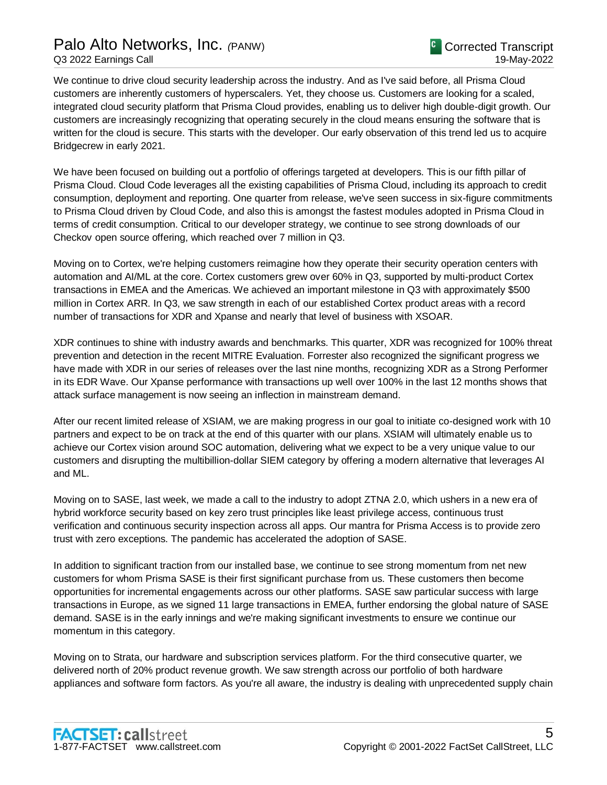# Palo Alto Networks, Inc. *(*PANW)

We continue to drive cloud security leadership across the industry. And as I've said before, all Prisma Cloud customers are inherently customers of hyperscalers. Yet, they choose us. Customers are looking for a scaled, integrated cloud security platform that Prisma Cloud provides, enabling us to deliver high double-digit growth. Our customers are increasingly recognizing that operating securely in the cloud means ensuring the software that is written for the cloud is secure. This starts with the developer. Our early observation of this trend led us to acquire Bridgecrew in early 2021.

We have been focused on building out a portfolio of offerings targeted at developers. This is our fifth pillar of Prisma Cloud. Cloud Code leverages all the existing capabilities of Prisma Cloud, including its approach to credit consumption, deployment and reporting. One quarter from release, we've seen success in six-figure commitments to Prisma Cloud driven by Cloud Code, and also this is amongst the fastest modules adopted in Prisma Cloud in terms of credit consumption. Critical to our developer strategy, we continue to see strong downloads of our Checkov open source offering, which reached over 7 million in Q3.

Moving on to Cortex, we're helping customers reimagine how they operate their security operation centers with automation and AI/ML at the core. Cortex customers grew over 60% in Q3, supported by multi-product Cortex transactions in EMEA and the Americas. We achieved an important milestone in Q3 with approximately \$500 million in Cortex ARR. In Q3, we saw strength in each of our established Cortex product areas with a record number of transactions for XDR and Xpanse and nearly that level of business with XSOAR.

XDR continues to shine with industry awards and benchmarks. This quarter, XDR was recognized for 100% threat prevention and detection in the recent MITRE Evaluation. Forrester also recognized the significant progress we have made with XDR in our series of releases over the last nine months, recognizing XDR as a Strong Performer in its EDR Wave. Our Xpanse performance with transactions up well over 100% in the last 12 months shows that attack surface management is now seeing an inflection in mainstream demand.

After our recent limited release of XSIAM, we are making progress in our goal to initiate co-designed work with 10 partners and expect to be on track at the end of this quarter with our plans. XSIAM will ultimately enable us to achieve our Cortex vision around SOC automation, delivering what we expect to be a very unique value to our customers and disrupting the multibillion-dollar SIEM category by offering a modern alternative that leverages AI and ML.

Moving on to SASE, last week, we made a call to the industry to adopt ZTNA 2.0, which ushers in a new era of hybrid workforce security based on key zero trust principles like least privilege access, continuous trust verification and continuous security inspection across all apps. Our mantra for Prisma Access is to provide zero trust with zero exceptions. The pandemic has accelerated the adoption of SASE.

In addition to significant traction from our installed base, we continue to see strong momentum from net new customers for whom Prisma SASE is their first significant purchase from us. These customers then become opportunities for incremental engagements across our other platforms. SASE saw particular success with large transactions in Europe, as we signed 11 large transactions in EMEA, further endorsing the global nature of SASE demand. SASE is in the early innings and we're making significant investments to ensure we continue our momentum in this category.

Moving on to Strata, our hardware and subscription services platform. For the third consecutive quarter, we delivered north of 20% product revenue growth. We saw strength across our portfolio of both hardware appliances and software form factors. As you're all aware, the industry is dealing with unprecedented supply chain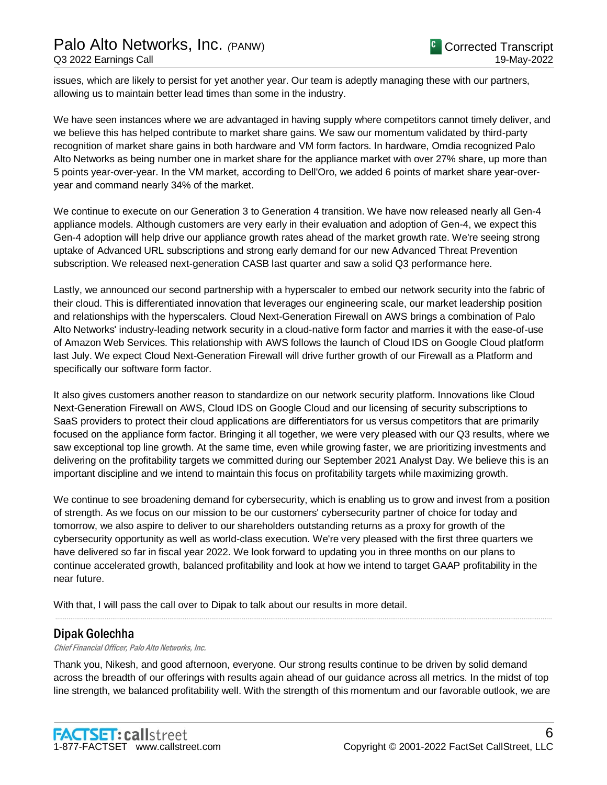issues, which are likely to persist for yet another year. Our team is adeptly managing these with our partners, allowing us to maintain better lead times than some in the industry.

We have seen instances where we are advantaged in having supply where competitors cannot timely deliver, and we believe this has helped contribute to market share gains. We saw our momentum validated by third-party recognition of market share gains in both hardware and VM form factors. In hardware, Omdia recognized Palo Alto Networks as being number one in market share for the appliance market with over 27% share, up more than 5 points year-over-year. In the VM market, according to Dell'Oro, we added 6 points of market share year-overyear and command nearly 34% of the market.

We continue to execute on our Generation 3 to Generation 4 transition. We have now released nearly all Gen-4 appliance models. Although customers are very early in their evaluation and adoption of Gen-4, we expect this Gen-4 adoption will help drive our appliance growth rates ahead of the market growth rate. We're seeing strong uptake of Advanced URL subscriptions and strong early demand for our new Advanced Threat Prevention subscription. We released next-generation CASB last quarter and saw a solid Q3 performance here.

Lastly, we announced our second partnership with a hyperscaler to embed our network security into the fabric of their cloud. This is differentiated innovation that leverages our engineering scale, our market leadership position and relationships with the hyperscalers. Cloud Next-Generation Firewall on AWS brings a combination of Palo Alto Networks' industry-leading network security in a cloud-native form factor and marries it with the ease-of-use of Amazon Web Services. This relationship with AWS follows the launch of Cloud IDS on Google Cloud platform last July. We expect Cloud Next-Generation Firewall will drive further growth of our Firewall as a Platform and specifically our software form factor.

It also gives customers another reason to standardize on our network security platform. Innovations like Cloud Next-Generation Firewall on AWS, Cloud IDS on Google Cloud and our licensing of security subscriptions to SaaS providers to protect their cloud applications are differentiators for us versus competitors that are primarily focused on the appliance form factor. Bringing it all together, we were very pleased with our Q3 results, where we saw exceptional top line growth. At the same time, even while growing faster, we are prioritizing investments and delivering on the profitability targets we committed during our September 2021 Analyst Day. We believe this is an important discipline and we intend to maintain this focus on profitability targets while maximizing growth.

We continue to see broadening demand for cybersecurity, which is enabling us to grow and invest from a position of strength. As we focus on our mission to be our customers' cybersecurity partner of choice for today and tomorrow, we also aspire to deliver to our shareholders outstanding returns as a proxy for growth of the cybersecurity opportunity as well as world-class execution. We're very pleased with the first three quarters we have delivered so far in fiscal year 2022. We look forward to updating you in three months on our plans to continue accelerated growth, balanced profitability and look at how we intend to target GAAP profitability in the near future.

With that, I will pass the call over to Dipak to talk about our results in more detail.

# Dipak Golechha

Chief Financial Officer, Palo Alto Networks, Inc.

Thank you, Nikesh, and good afternoon, everyone. Our strong results continue to be driven by solid demand across the breadth of our offerings with results again ahead of our guidance across all metrics. In the midst of top line strength, we balanced profitability well. With the strength of this momentum and our favorable outlook, we are

.....................................................................................................................................................................................................................................................................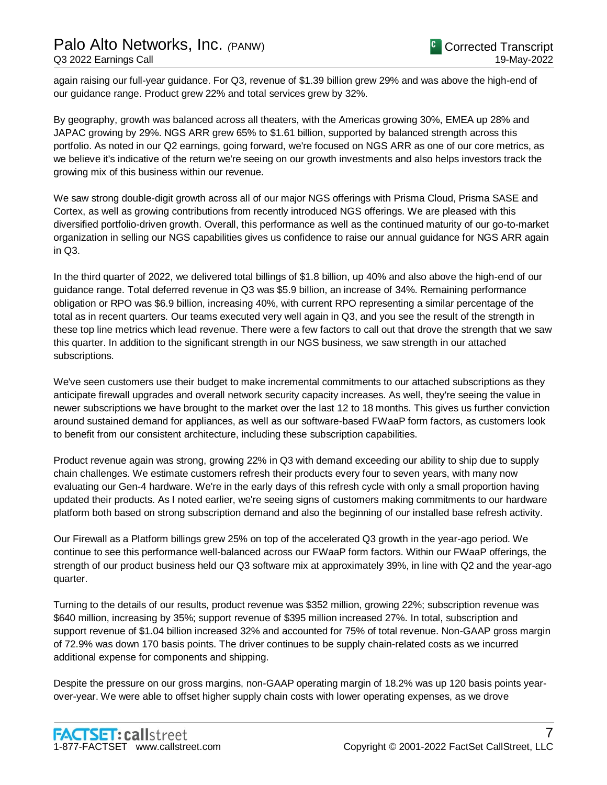again raising our full-year guidance. For Q3, revenue of \$1.39 billion grew 29% and was above the high-end of our guidance range. Product grew 22% and total services grew by 32%.

By geography, growth was balanced across all theaters, with the Americas growing 30%, EMEA up 28% and JAPAC growing by 29%. NGS ARR grew 65% to \$1.61 billion, supported by balanced strength across this portfolio. As noted in our Q2 earnings, going forward, we're focused on NGS ARR as one of our core metrics, as we believe it's indicative of the return we're seeing on our growth investments and also helps investors track the growing mix of this business within our revenue.

We saw strong double-digit growth across all of our major NGS offerings with Prisma Cloud, Prisma SASE and Cortex, as well as growing contributions from recently introduced NGS offerings. We are pleased with this diversified portfolio-driven growth. Overall, this performance as well as the continued maturity of our go-to-market organization in selling our NGS capabilities gives us confidence to raise our annual guidance for NGS ARR again in Q3.

In the third quarter of 2022, we delivered total billings of \$1.8 billion, up 40% and also above the high-end of our guidance range. Total deferred revenue in Q3 was \$5.9 billion, an increase of 34%. Remaining performance obligation or RPO was \$6.9 billion, increasing 40%, with current RPO representing a similar percentage of the total as in recent quarters. Our teams executed very well again in Q3, and you see the result of the strength in these top line metrics which lead revenue. There were a few factors to call out that drove the strength that we saw this quarter. In addition to the significant strength in our NGS business, we saw strength in our attached subscriptions.

We've seen customers use their budget to make incremental commitments to our attached subscriptions as they anticipate firewall upgrades and overall network security capacity increases. As well, they're seeing the value in newer subscriptions we have brought to the market over the last 12 to 18 months. This gives us further conviction around sustained demand for appliances, as well as our software-based FWaaP form factors, as customers look to benefit from our consistent architecture, including these subscription capabilities.

Product revenue again was strong, growing 22% in Q3 with demand exceeding our ability to ship due to supply chain challenges. We estimate customers refresh their products every four to seven years, with many now evaluating our Gen-4 hardware. We're in the early days of this refresh cycle with only a small proportion having updated their products. As I noted earlier, we're seeing signs of customers making commitments to our hardware platform both based on strong subscription demand and also the beginning of our installed base refresh activity.

Our Firewall as a Platform billings grew 25% on top of the accelerated Q3 growth in the year-ago period. We continue to see this performance well-balanced across our FWaaP form factors. Within our FWaaP offerings, the strength of our product business held our Q3 software mix at approximately 39%, in line with Q2 and the year-ago quarter.

Turning to the details of our results, product revenue was \$352 million, growing 22%; subscription revenue was \$640 million, increasing by 35%; support revenue of \$395 million increased 27%. In total, subscription and support revenue of \$1.04 billion increased 32% and accounted for 75% of total revenue. Non-GAAP gross margin of 72.9% was down 170 basis points. The driver continues to be supply chain-related costs as we incurred additional expense for components and shipping.

Despite the pressure on our gross margins, non-GAAP operating margin of 18.2% was up 120 basis points yearover-year. We were able to offset higher supply chain costs with lower operating expenses, as we drove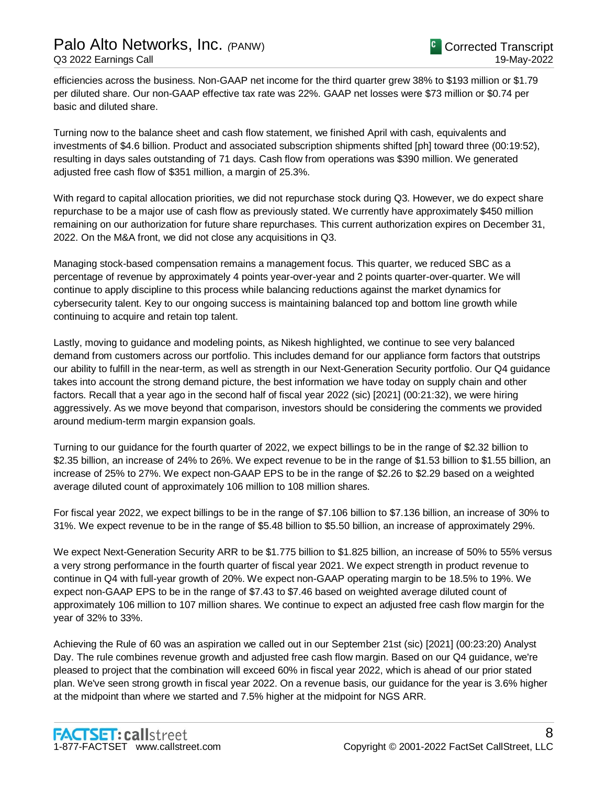efficiencies across the business. Non-GAAP net income for the third quarter grew 38% to \$193 million or \$1.79 per diluted share. Our non-GAAP effective tax rate was 22%. GAAP net losses were \$73 million or \$0.74 per basic and diluted share.

Turning now to the balance sheet and cash flow statement, we finished April with cash, equivalents and investments of \$4.6 billion. Product and associated subscription shipments shifted [ph] toward three (00:19:52), resulting in days sales outstanding of 71 days. Cash flow from operations was \$390 million. We generated adjusted free cash flow of \$351 million, a margin of 25.3%.

With regard to capital allocation priorities, we did not repurchase stock during Q3. However, we do expect share repurchase to be a major use of cash flow as previously stated. We currently have approximately \$450 million remaining on our authorization for future share repurchases. This current authorization expires on December 31, 2022. On the M&A front, we did not close any acquisitions in Q3.

Managing stock-based compensation remains a management focus. This quarter, we reduced SBC as a percentage of revenue by approximately 4 points year-over-year and 2 points quarter-over-quarter. We will continue to apply discipline to this process while balancing reductions against the market dynamics for cybersecurity talent. Key to our ongoing success is maintaining balanced top and bottom line growth while continuing to acquire and retain top talent.

Lastly, moving to guidance and modeling points, as Nikesh highlighted, we continue to see very balanced demand from customers across our portfolio. This includes demand for our appliance form factors that outstrips our ability to fulfill in the near-term, as well as strength in our Next-Generation Security portfolio. Our Q4 guidance takes into account the strong demand picture, the best information we have today on supply chain and other factors. Recall that a year ago in the second half of fiscal year 2022 (sic) [2021] (00:21:32), we were hiring aggressively. As we move beyond that comparison, investors should be considering the comments we provided around medium-term margin expansion goals.

Turning to our guidance for the fourth quarter of 2022, we expect billings to be in the range of \$2.32 billion to \$2.35 billion, an increase of 24% to 26%. We expect revenue to be in the range of \$1.53 billion to \$1.55 billion, an increase of 25% to 27%. We expect non-GAAP EPS to be in the range of \$2.26 to \$2.29 based on a weighted average diluted count of approximately 106 million to 108 million shares.

For fiscal year 2022, we expect billings to be in the range of \$7.106 billion to \$7.136 billion, an increase of 30% to 31%. We expect revenue to be in the range of \$5.48 billion to \$5.50 billion, an increase of approximately 29%.

We expect Next-Generation Security ARR to be \$1.775 billion to \$1.825 billion, an increase of 50% to 55% versus a very strong performance in the fourth quarter of fiscal year 2021. We expect strength in product revenue to continue in Q4 with full-year growth of 20%. We expect non-GAAP operating margin to be 18.5% to 19%. We expect non-GAAP EPS to be in the range of \$7.43 to \$7.46 based on weighted average diluted count of approximately 106 million to 107 million shares. We continue to expect an adjusted free cash flow margin for the year of 32% to 33%.

Achieving the Rule of 60 was an aspiration we called out in our September 21st (sic) [2021] (00:23:20) Analyst Day. The rule combines revenue growth and adjusted free cash flow margin. Based on our Q4 guidance, we're pleased to project that the combination will exceed 60% in fiscal year 2022, which is ahead of our prior stated plan. We've seen strong growth in fiscal year 2022. On a revenue basis, our guidance for the year is 3.6% higher at the midpoint than where we started and 7.5% higher at the midpoint for NGS ARR.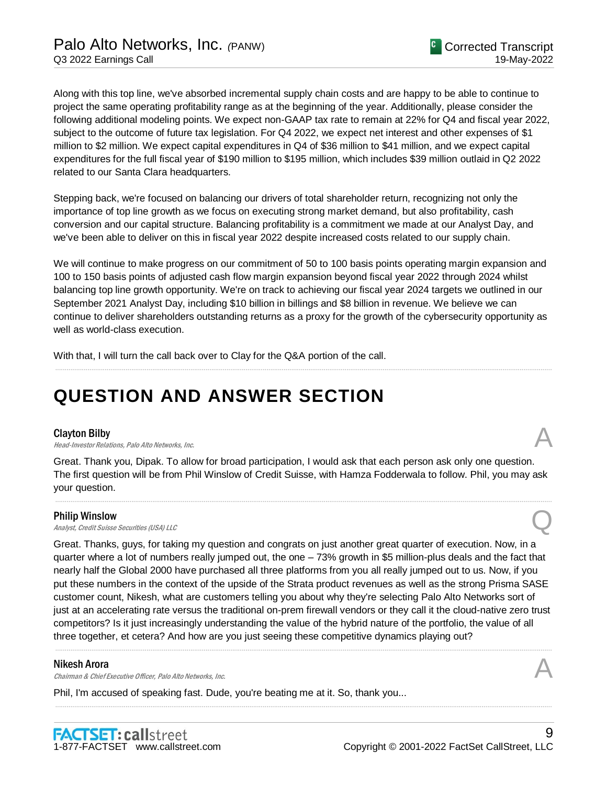Along with this top line, we've absorbed incremental supply chain costs and are happy to be able to continue to project the same operating profitability range as at the beginning of the year. Additionally, please consider the following additional modeling points. We expect non-GAAP tax rate to remain at 22% for Q4 and fiscal year 2022, subject to the outcome of future tax legislation. For Q4 2022, we expect net interest and other expenses of \$1 million to \$2 million. We expect capital expenditures in Q4 of \$36 million to \$41 million, and we expect capital expenditures for the full fiscal year of \$190 million to \$195 million, which includes \$39 million outlaid in Q2 2022 related to our Santa Clara headquarters.

Stepping back, we're focused on balancing our drivers of total shareholder return, recognizing not only the importance of top line growth as we focus on executing strong market demand, but also profitability, cash conversion and our capital structure. Balancing profitability is a commitment we made at our Analyst Day, and we've been able to deliver on this in fiscal year 2022 despite increased costs related to our supply chain.

We will continue to make progress on our commitment of 50 to 100 basis points operating margin expansion and 100 to 150 basis points of adjusted cash flow margin expansion beyond fiscal year 2022 through 2024 whilst balancing top line growth opportunity. We're on track to achieving our fiscal year 2024 targets we outlined in our September 2021 Analyst Day, including \$10 billion in billings and \$8 billion in revenue. We believe we can continue to deliver shareholders outstanding returns as a proxy for the growth of the cybersecurity opportunity as well as world-class execution.

.....................................................................................................................................................................................................................................................................

With that, I will turn the call back over to Clay for the Q&A portion of the call.

# **QUESTION AND ANSWER SECTION**

## Clayton Bilby

**Clayton Bilby**<br>Head-Investor Relations, Palo Alto Networks, Inc.  $\mathcal{A}$ 

Great. Thank you, Dipak. To allow for broad participation, I would ask that each person ask only one question. The first question will be from Phil Winslow of Credit Suisse, with Hamza Fodderwala to follow. Phil, you may ask your question.

.....................................................................................................................................................................................................................................................................

## Philip Winslow

**Philip Winslow**<br>Analyst, Credit Suisse Securities (USA) LLC

Great. Thanks, guys, for taking my question and congrats on just another great quarter of execution. Now, in a quarter where a lot of numbers really jumped out, the one – 73% growth in \$5 million-plus deals and the fact that nearly half the Global 2000 have purchased all three platforms from you all really jumped out to us. Now, if you put these numbers in the context of the upside of the Strata product revenues as well as the strong Prisma SASE customer count, Nikesh, what are customers telling you about why they're selecting Palo Alto Networks sort of just at an accelerating rate versus the traditional on-prem firewall vendors or they call it the cloud-native zero trust competitors? Is it just increasingly understanding the value of the hybrid nature of the portfolio, the value of all three together, et cetera? And how are you just seeing these competitive dynamics playing out?

.....................................................................................................................................................................................................................................................................

.....................................................................................................................................................................................................................................................................

## Nikesh Arora

Chairman & Chief Executive Officer, Palo Alto Networks, Inc.

Phil, I'm accused of speaking fast. Dude, you're beating me at it. So, thank you...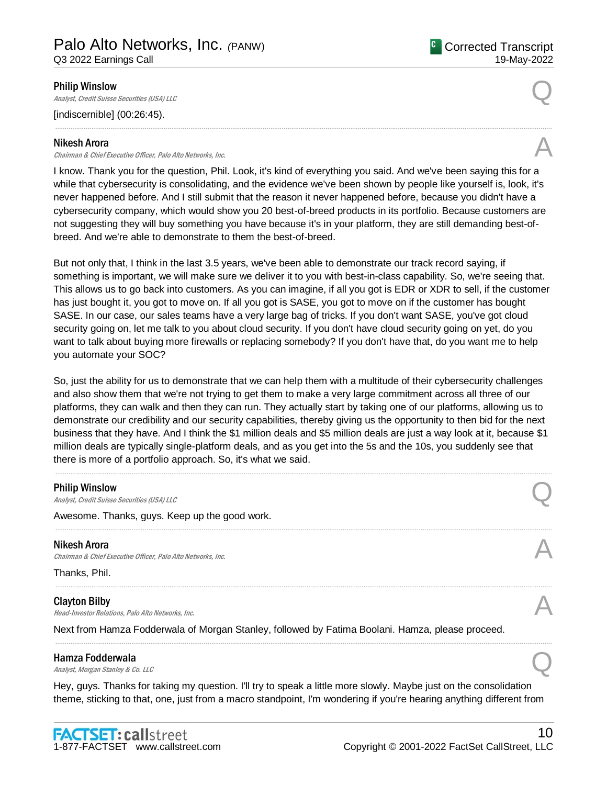**C** Corrected Transcript 19-May-2022

## Philip Winslow

**Philip Winslow**<br>Analyst, Credit Suisse Securities (USA) LLC

[indiscernible] (00:26:45).

#### Nikesh Arora

Chairman & Chief Executive Officer, Palo Alto Networks, Inc. A

I know. Thank you for the question, Phil. Look, it's kind of everything you said. And we've been saying this for a while that cybersecurity is consolidating, and the evidence we've been shown by people like yourself is, look, it's never happened before. And I still submit that the reason it never happened before, because you didn't have a cybersecurity company, which would show you 20 best-of-breed products in its portfolio. Because customers are not suggesting they will buy something you have because it's in your platform, they are still demanding best-ofbreed. And we're able to demonstrate to them the best-of-breed.

.....................................................................................................................................................................................................................................................................

But not only that, I think in the last 3.5 years, we've been able to demonstrate our track record saying, if something is important, we will make sure we deliver it to you with best-in-class capability. So, we're seeing that. This allows us to go back into customers. As you can imagine, if all you got is EDR or XDR to sell, if the customer has just bought it, you got to move on. If all you got is SASE, you got to move on if the customer has bought SASE. In our case, our sales teams have a very large bag of tricks. If you don't want SASE, you've got cloud security going on, let me talk to you about cloud security. If you don't have cloud security going on yet, do you want to talk about buying more firewalls or replacing somebody? If you don't have that, do you want me to help you automate your SOC?

So, just the ability for us to demonstrate that we can help them with a multitude of their cybersecurity challenges and also show them that we're not trying to get them to make a very large commitment across all three of our platforms, they can walk and then they can run. They actually start by taking one of our platforms, allowing us to demonstrate our credibility and our security capabilities, thereby giving us the opportunity to then bid for the next business that they have. And I think the \$1 million deals and \$5 million deals are just a way look at it, because \$1 million deals are typically single-platform deals, and as you get into the 5s and the 10s, you suddenly see that there is more of a portfolio approach. So, it's what we said.

.....................................................................................................................................................................................................................................................................

.....................................................................................................................................................................................................................................................................

.....................................................................................................................................................................................................................................................................

.....................................................................................................................................................................................................................................................................

#### Philip Winslow

**Philip Winslow**<br>Analyst, Credit Suisse Securities (USA) LLC

Awesome. Thanks, guys. Keep up the good work.

#### Nikesh Arora

Chairman & Chief Executive Officer, Palo Alto Networks, Inc.

Thanks, Phil.

#### Clayton Bilby

**Clayton Bilby**<br>Head-Investor Relations, Palo Alto Networks, Inc.  $\mathcal{A}$ 

Next from Hamza Fodderwala of Morgan Stanley, followed by Fatima Boolani. Hamza, please proceed.

#### Hamza Fodderwala

**Hamza Fodderwala**<br>Analyst, Morgan Stanley & Co. LLC Quarter  $Q$ 

Hey, guys. Thanks for taking my question. I'll try to speak a little more slowly. Maybe just on the consolidation theme, sticking to that, one, just from a macro standpoint, I'm wondering if you're hearing anything different from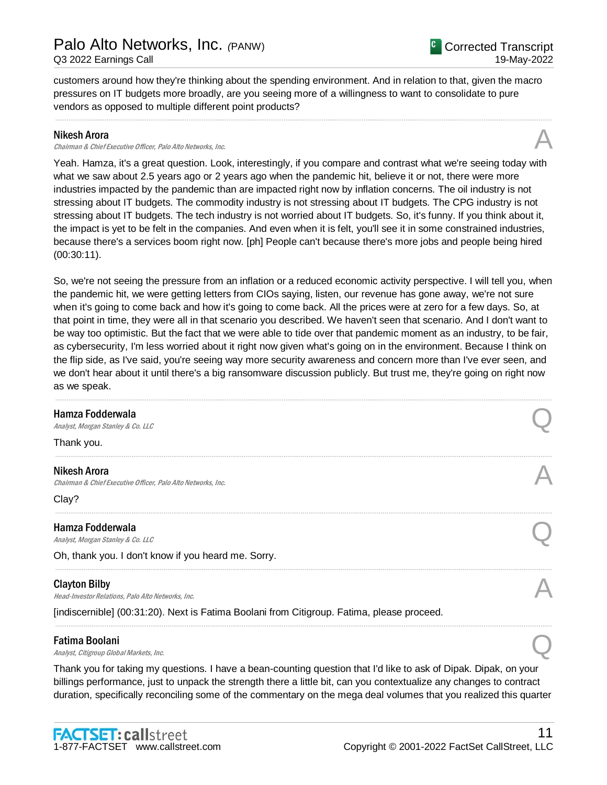vendors as opposed to multiple different point products?

customers around how they're thinking about the spending environment. And in relation to that, given the macro pressures on IT budgets more broadly, are you seeing more of a willingness to want to consolidate to pure

## Nikesh Arora

Chairman & Chief Executive Officer, Palo Alto Networks, Inc.

Yeah. Hamza, it's a great question. Look, interestingly, if you compare and contrast what we're seeing today with what we saw about 2.5 years ago or 2 years ago when the pandemic hit, believe it or not, there were more industries impacted by the pandemic than are impacted right now by inflation concerns. The oil industry is not stressing about IT budgets. The commodity industry is not stressing about IT budgets. The CPG industry is not stressing about IT budgets. The tech industry is not worried about IT budgets. So, it's funny. If you think about it, the impact is yet to be felt in the companies. And even when it is felt, you'll see it in some constrained industries, because there's a services boom right now. [ph] People can't because there's more jobs and people being hired (00:30:11).

.....................................................................................................................................................................................................................................................................

So, we're not seeing the pressure from an inflation or a reduced economic activity perspective. I will tell you, when the pandemic hit, we were getting letters from CIOs saying, listen, our revenue has gone away, we're not sure when it's going to come back and how it's going to come back. All the prices were at zero for a few days. So, at that point in time, they were all in that scenario you described. We haven't seen that scenario. And I don't want to be way too optimistic. But the fact that we were able to tide over that pandemic moment as an industry, to be fair, as cybersecurity, I'm less worried about it right now given what's going on in the environment. Because I think on the flip side, as I've said, you're seeing way more security awareness and concern more than I've ever seen, and we don't hear about it until there's a big ransomware discussion publicly. But trust me, they're going on right now as we speak.

| Hamza Fodderwala<br>Analyst, Morgan Stanley & Co. LLC                                      |  |
|--------------------------------------------------------------------------------------------|--|
| Thank you.                                                                                 |  |
| <b>Nikesh Arora</b><br>Chairman & Chief Executive Officer, Palo Alto Networks, Inc.        |  |
| Clay?                                                                                      |  |
| Hamza Fodderwala<br>Analyst, Morgan Stanley & Co. LLC                                      |  |
| Oh, thank you. I don't know if you heard me. Sorry.                                        |  |
| <b>Clayton Bilby</b><br>Head-Investor Relations, Palo Alto Networks, Inc.                  |  |
| [indiscernible] (00:31:20). Next is Fatima Boolani from Citigroup. Fatima, please proceed. |  |
| <b>Fatima Boolani</b><br>Analyst, Citigroup Global Markets, Inc.                           |  |

#### Fatima Boolani

Thank you for taking my questions. I have a bean-counting question that I'd like to ask of Dipak. Dipak, on your billings performance, just to unpack the strength there a little bit, can you contextualize any changes to contract duration, specifically reconciling some of the commentary on the mega deal volumes that you realized this quarter



11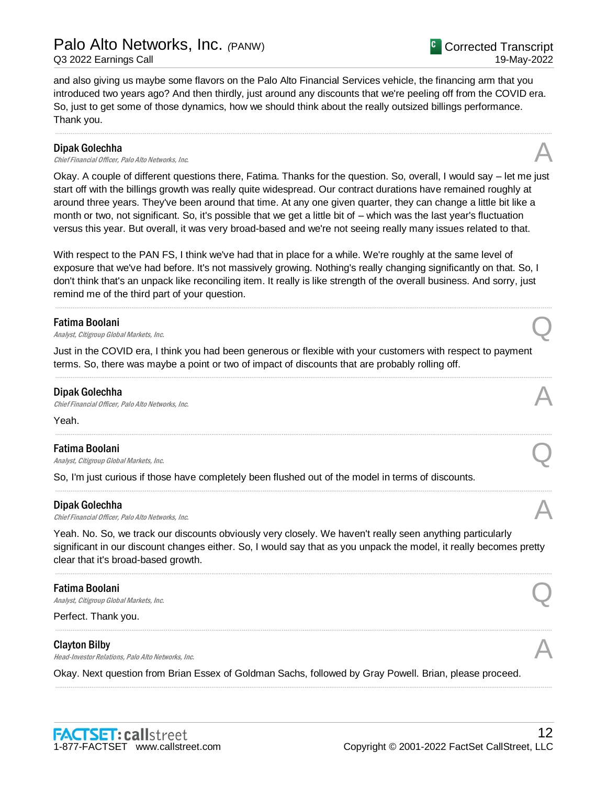and also giving us maybe some flavors on the Palo Alto Financial Services vehicle, the financing arm that you introduced two years ago? And then thirdly, just around any discounts that we're peeling off from the COVID era. So, just to get some of those dynamics, how we should think about the really outsized billings performance. Thank you.

.....................................................................................................................................................................................................................................................................

#### Dipak Golechha

Chief Financial Officer, Palo Alto Networks, Inc.

Okay. A couple of different questions there, Fatima. Thanks for the question. So, overall, I would say – let me just start off with the billings growth was really quite widespread. Our contract durations have remained roughly at around three years. They've been around that time. At any one given quarter, they can change a little bit like a month or two, not significant. So, it's possible that we get a little bit of – which was the last year's fluctuation versus this year. But overall, it was very broad-based and we're not seeing really many issues related to that.

With respect to the PAN FS, I think we've had that in place for a while. We're roughly at the same level of exposure that we've had before. It's not massively growing. Nothing's really changing significantly on that. So, I don't think that's an unpack like reconciling item. It really is like strength of the overall business. And sorry, just remind me of the third part of your question.

.....................................................................................................................................................................................................................................................................

### Fatima Boolani

**Fatima Boolani**<br>Analyst, Citigroup Global Markets, Inc. Quality of the Control of the Control of the Control of the Control of the Control of the Control of the Control of the Control of the Control of the Control of the

Just in the COVID era, I think you had been generous or flexible with your customers with respect to payment terms. So, there was maybe a point or two of impact of discounts that are probably rolling off.

.....................................................................................................................................................................................................................................................................

.....................................................................................................................................................................................................................................................................

.....................................................................................................................................................................................................................................................................

#### Dipak Golechha

**Dipak Golechha**<br>Chief Financial Officer, Palo Alto Networks, Inc.  $\mathcal{A}$ 

#### Yeah.

#### Fatima Boolani

**Fatima Boolani**<br>Analyst, Citigroup Global Markets, Inc. Quality of the Control of the Control of the Control of the Control of the Control of the Control of the Control of the Control of the Control of the Control of the

So, I'm just curious if those have completely been flushed out of the model in terms of discounts.

#### Dipak Golechha

**Dipak Golechha**<br>Chief Financial Officer, Palo Alto Networks, Inc.  $\mathcal{A}$ 

Yeah. No. So, we track our discounts obviously very closely. We haven't really seen anything particularly significant in our discount changes either. So, I would say that as you unpack the model, it really becomes pretty clear that it's broad-based growth.

.....................................................................................................................................................................................................................................................................

.....................................................................................................................................................................................................................................................................

.....................................................................................................................................................................................................................................................................

#### Fatima Boolani

**Fatima Boolani**<br>Analyst, Citigroup Global Markets, Inc. Quality of the Control of the Control of the Control of the Control of the Control of the Control of the Control of the Control of the Control of the Control of the

Perfect. Thank you.

#### Clayton Bilby

**Clayton Bilby**<br>Head-Investor Relations, Palo Alto Networks, Inc.  $\mathcal{A}$ 

Okay. Next question from Brian Essex of Goldman Sachs, followed by Gray Powell. Brian, please proceed.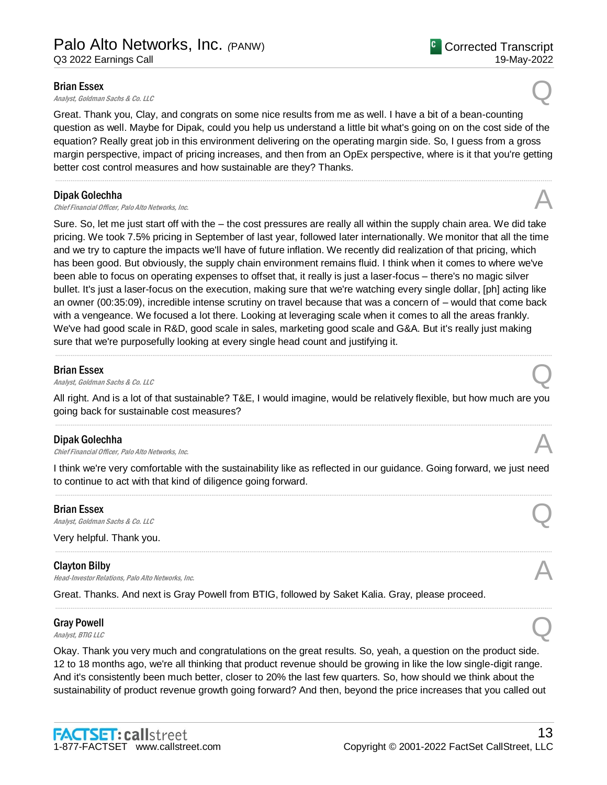#### Brian Essex

**Brian Essex**<br>Analyst, Goldman Sachs & Co. LLC  $\bigotimes$ 

Great. Thank you, Clay, and congrats on some nice results from me as well. I have a bit of a bean-counting question as well. Maybe for Dipak, could you help us understand a little bit what's going on on the cost side of the equation? Really great job in this environment delivering on the operating margin side. So, I guess from a gross margin perspective, impact of pricing increases, and then from an OpEx perspective, where is it that you're getting better cost control measures and how sustainable are they? Thanks.

.....................................................................................................................................................................................................................................................................

#### Dipak Golechha

**Dipak Golechha**<br>Chief Financial Officer, Palo Alto Networks, Inc.  $\mathcal{A}$ 

Sure. So, let me just start off with the – the cost pressures are really all within the supply chain area. We did take pricing. We took 7.5% pricing in September of last year, followed later internationally. We monitor that all the time and we try to capture the impacts we'll have of future inflation. We recently did realization of that pricing, which has been good. But obviously, the supply chain environment remains fluid. I think when it comes to where we've been able to focus on operating expenses to offset that, it really is just a laser-focus – there's no magic silver bullet. It's just a laser-focus on the execution, making sure that we're watching every single dollar, [ph] acting like an owner (00:35:09), incredible intense scrutiny on travel because that was a concern of – would that come back with a vengeance. We focused a lot there. Looking at leveraging scale when it comes to all the areas frankly. We've had good scale in R&D, good scale in sales, marketing good scale and G&A. But it's really just making sure that we're purposefully looking at every single head count and justifying it.

## Brian Essex

**Brian Essex**<br>Analyst, Goldman Sachs & Co. LLC

All right. And is a lot of that sustainable? T&E, I would imagine, would be relatively flexible, but how much are you going back for sustainable cost measures? .....................................................................................................................................................................................................................................................................

.....................................................................................................................................................................................................................................................................

## Dipak Golechha

**Dipak Golechha**<br>Chief Financial Officer, Palo Alto Networks, Inc.  $\mathcal{A}$ 

I think we're very comfortable with the sustainability like as reflected in our guidance. Going forward, we just need to continue to act with that kind of diligence going forward. .....................................................................................................................................................................................................................................................................

#### Brian Essex

**Brian Essex**<br>Analyst, Goldman Sachs & Co. LLC  $\bigotimes$ 

Very helpful. Thank you.

## Clayton Bilby

**Clayton Bilby**<br>Head-Investor Relations, Palo Alto Networks, Inc.  $\mathcal{A}$ 

Great. Thanks. And next is Gray Powell from BTIG, followed by Saket Kalia. Gray, please proceed.

# Gray Powell Gray Powell  $\bigotimes$  *Analyst, BTIG LLC*

Okay. Thank you very much and congratulations on the great results. So, yeah, a question on the product side. 12 to 18 months ago, we're all thinking that product revenue should be growing in like the low single-digit range. And it's consistently been much better, closer to 20% the last few quarters. So, how should we think about the sustainability of product revenue growth going forward? And then, beyond the price increases that you called out

.....................................................................................................................................................................................................................................................................



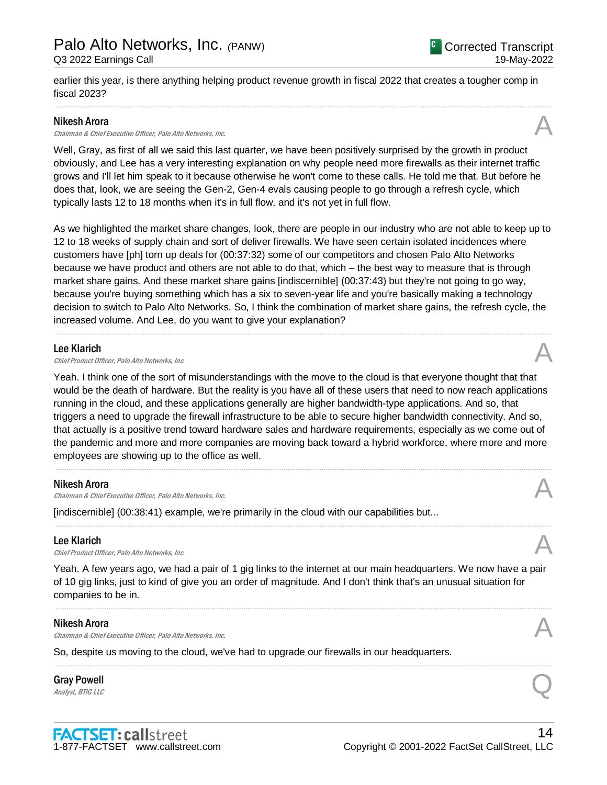earlier this year, is there anything helping product revenue growth in fiscal 2022 that creates a tougher comp in fiscal 2023?

.....................................................................................................................................................................................................................................................................

#### Nikesh Arora

Chairman & Chief Executive Officer, Palo Alto Networks, Inc.

Well, Gray, as first of all we said this last quarter, we have been positively surprised by the growth in product obviously, and Lee has a very interesting explanation on why people need more firewalls as their internet traffic grows and I'll let him speak to it because otherwise he won't come to these calls. He told me that. But before he does that, look, we are seeing the Gen-2, Gen-4 evals causing people to go through a refresh cycle, which typically lasts 12 to 18 months when it's in full flow, and it's not yet in full flow.

As we highlighted the market share changes, look, there are people in our industry who are not able to keep up to 12 to 18 weeks of supply chain and sort of deliver firewalls. We have seen certain isolated incidences where customers have [ph] torn up deals for (00:37:32) some of our competitors and chosen Palo Alto Networks because we have product and others are not able to do that, which – the best way to measure that is through market share gains. And these market share gains [indiscernible] (00:37:43) but they're not going to go way, because you're buying something which has a six to seven-year life and you're basically making a technology decision to switch to Palo Alto Networks. So, I think the combination of market share gains, the refresh cycle, the increased volume. And Lee, do you want to give your explanation?

.....................................................................................................................................................................................................................................................................

### Lee Klarich

**Lee Klarich**<br>Chief Product Officer, Palo Alto Networks, Inc.  $\mathcal{A}$ 

Yeah. I think one of the sort of misunderstandings with the move to the cloud is that everyone thought that that would be the death of hardware. But the reality is you have all of these users that need to now reach applications running in the cloud, and these applications generally are higher bandwidth-type applications. And so, that triggers a need to upgrade the firewall infrastructure to be able to secure higher bandwidth connectivity. And so, that actually is a positive trend toward hardware sales and hardware requirements, especially as we come out of the pandemic and more and more companies are moving back toward a hybrid workforce, where more and more employees are showing up to the office as well.

.....................................................................................................................................................................................................................................................................

.....................................................................................................................................................................................................................................................................

## Nikesh Arora

Chairman & Chief Executive Officer, Palo Alto Networks, Inc. A

[indiscernible] (00:38:41) example, we're primarily in the cloud with our capabilities but...

#### Lee Klarich

**Lee Klarich**<br>Chief Product Officer, Palo Alto Networks, Inc.  $\mathcal{A}$ 

Yeah. A few years ago, we had a pair of 1 gig links to the internet at our main headquarters. We now have a pair of 10 gig links, just to kind of give you an order of magnitude. And I don't think that's an unusual situation for companies to be in.

.....................................................................................................................................................................................................................................................................

.....................................................................................................................................................................................................................................................................

## Nikesh Arora

Chairman & Chief Executive Officer, Palo Alto Networks, Inc. A

So, despite us moving to the cloud, we've had to upgrade our firewalls in our headquarters.

# Gray Powell Gray Powell  $\bigotimes$  *Analyst, BTIG LLC*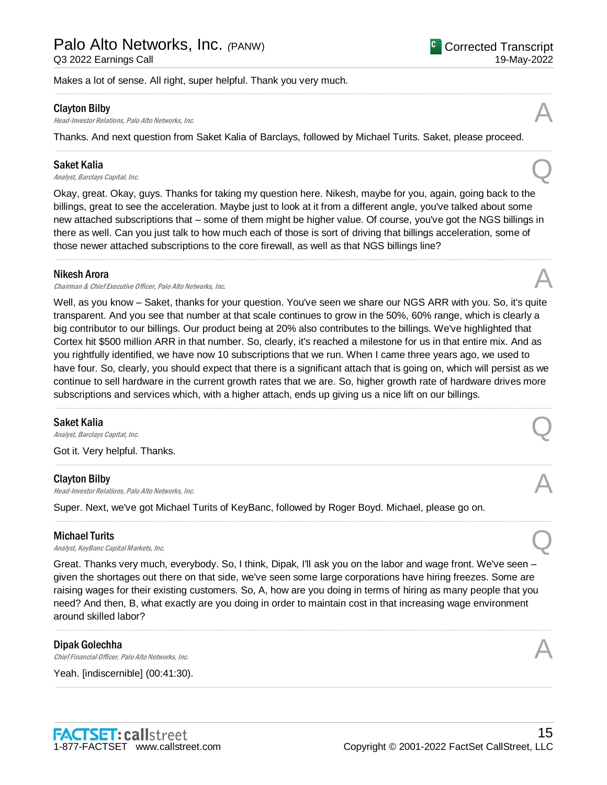Makes a lot of sense. All right, super helpful. Thank you very much.

#### Clayton Bilby

**Clayton Bilby**<br>Head-Investor Relations, Palo Alto Networks, Inc.  $\mathcal{A}$ 

Thanks. And next question from Saket Kalia of Barclays, followed by Michael Turits. Saket, please proceed.

.....................................................................................................................................................................................................................................................................

.....................................................................................................................................................................................................................................................................

#### Saket Kalia

Saket Kalia  $A_{nab}$ st, Barclays Capital, Inc.  $Q$ 

Okay, great. Okay, guys. Thanks for taking my question here. Nikesh, maybe for you, again, going back to the billings, great to see the acceleration. Maybe just to look at it from a different angle, you've talked about some new attached subscriptions that – some of them might be higher value. Of course, you've got the NGS billings in there as well. Can you just talk to how much each of those is sort of driving that billings acceleration, some of those newer attached subscriptions to the core firewall, as well as that NGS billings line?

.....................................................................................................................................................................................................................................................................

### Nikesh Arora

Chairman & Chief Executive Officer, Palo Alto Networks, Inc.

Well, as you know – Saket, thanks for your question. You've seen we share our NGS ARR with you. So, it's quite transparent. And you see that number at that scale continues to grow in the 50%, 60% range, which is clearly a big contributor to our billings. Our product being at 20% also contributes to the billings. We've highlighted that Cortex hit \$500 million ARR in that number. So, clearly, it's reached a milestone for us in that entire mix. And as you rightfully identified, we have now 10 subscriptions that we run. When I came three years ago, we used to have four. So, clearly, you should expect that there is a significant attach that is going on, which will persist as we continue to sell hardware in the current growth rates that we are. So, higher growth rate of hardware drives more subscriptions and services which, with a higher attach, ends up giving us a nice lift on our billings. .....................................................................................................................................................................................................................................................................

.....................................................................................................................................................................................................................................................................

.....................................................................................................................................................................................................................................................................

## Saket Kalia

Saket Kalia  $A_{nab}$ st, Barclays Capital, Inc.  $Q$ 

Got it. Very helpful. Thanks.

#### Clayton Bilby

**Clayton Bilby**<br>Head-Investor Relations, Palo Alto Networks, Inc.  $\mathcal{A}$ 

Super. Next, we've got Michael Turits of KeyBanc, followed by Roger Boyd. Michael, please go on.

## Michael Turits

**Michael Turits**<br>Analyst, KeyBanc Capital Markets, Inc.  $\bigotimes$ 

Great. Thanks very much, everybody. So, I think, Dipak, I'll ask you on the labor and wage front. We've seen – given the shortages out there on that side, we've seen some large corporations have hiring freezes. Some are raising wages for their existing customers. So, A, how are you doing in terms of hiring as many people that you need? And then, B, what exactly are you doing in order to maintain cost in that increasing wage environment around skilled labor?

.....................................................................................................................................................................................................................................................................

.....................................................................................................................................................................................................................................................................

## Dipak Golechha

**Dipak Golechha**<br>Chief Financial Officer, Palo Alto Networks, Inc.  $\mathcal{A}$ 

Yeah. [indiscernible] (00:41:30).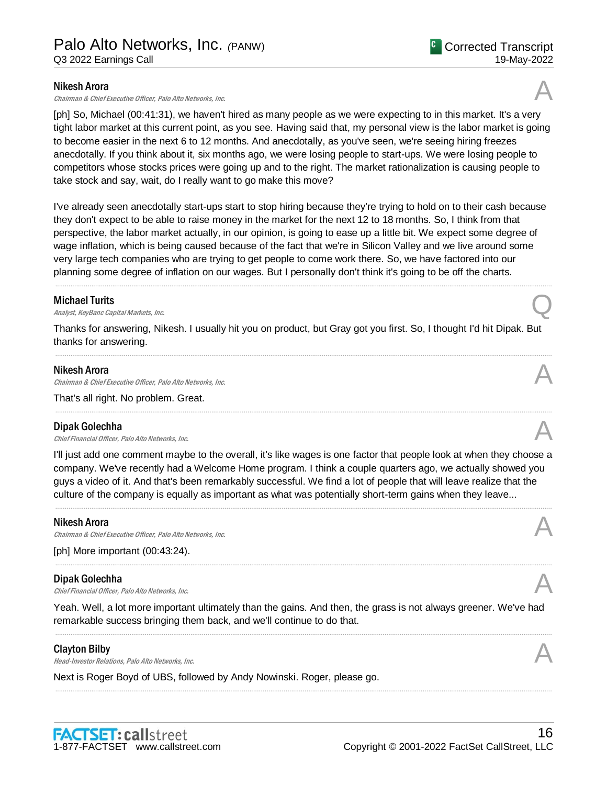### Nikesh Arora

Chairman & Chief Executive Officer, Palo Alto Networks, Inc.

[ph] So, Michael (00:41:31), we haven't hired as many people as we were expecting to in this market. It's a very tight labor market at this current point, as you see. Having said that, my personal view is the labor market is going to become easier in the next 6 to 12 months. And anecdotally, as you've seen, we're seeing hiring freezes anecdotally. If you think about it, six months ago, we were losing people to start-ups. We were losing people to competitors whose stocks prices were going up and to the right. The market rationalization is causing people to take stock and say, wait, do I really want to go make this move?

I've already seen anecdotally start-ups start to stop hiring because they're trying to hold on to their cash because they don't expect to be able to raise money in the market for the next 12 to 18 months. So, I think from that perspective, the labor market actually, in our opinion, is going to ease up a little bit. We expect some degree of wage inflation, which is being caused because of the fact that we're in Silicon Valley and we live around some very large tech companies who are trying to get people to come work there. So, we have factored into our planning some degree of inflation on our wages. But I personally don't think it's going to be off the charts.

.....................................................................................................................................................................................................................................................................

## Michael Turits

**Michael Turits**<br>Analyst, KeyBanc Capital Markets, Inc.  $Q$ 

Thanks for answering, Nikesh. I usually hit you on product, but Gray got you first. So, I thought I'd hit Dipak. But thanks for answering.

.....................................................................................................................................................................................................................................................................

.....................................................................................................................................................................................................................................................................

## Nikesh Arora

Chairman & Chief Executive Officer, Palo Alto Networks, Inc.

That's all right. No problem. Great.

#### Dipak Golechha

**Dipak Golechha**<br>Chief Financial Officer, Palo Alto Networks, Inc.  $\mathcal{A}$ 

I'll just add one comment maybe to the overall, it's like wages is one factor that people look at when they choose a company. We've recently had a Welcome Home program. I think a couple quarters ago, we actually showed you guys a video of it. And that's been remarkably successful. We find a lot of people that will leave realize that the culture of the company is equally as important as what was potentially short-term gains when they leave...

#### Nikesh Arora

Chairman & Chief Executive Officer, Palo Alto Networks, Inc.

[ph] More important (00:43:24).

## Dipak Golechha

**Dipak Golechha**<br>Chief Financial Officer, Palo Alto Networks, Inc.  $\mathcal{A}$ 

Yeah. Well, a lot more important ultimately than the gains. And then, the grass is not always greener. We've had remarkable success bringing them back, and we'll continue to do that.

.....................................................................................................................................................................................................................................................................

.....................................................................................................................................................................................................................................................................

## Clayton Bilby

**Clayton Bilby**<br>Head-Investor Relations, Palo Alto Networks, Inc.  $\mathcal{A}$ 

Next is Roger Boyd of UBS, followed by Andy Nowinski. Roger, please go.







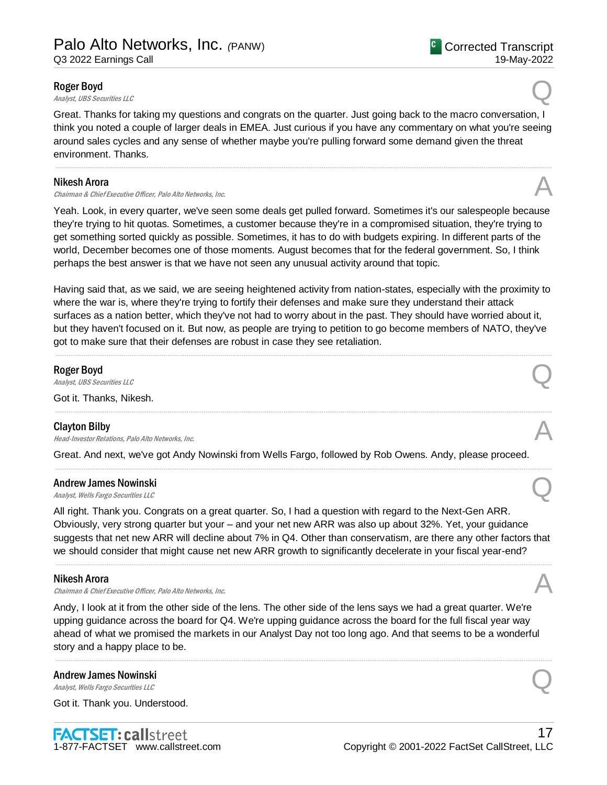### Roger Boyd

**Roger Boyd**<br>Analyst, UBS Securities LLC

Great. Thanks for taking my questions and congrats on the quarter. Just going back to the macro conversation, I think you noted a couple of larger deals in EMEA. Just curious if you have any commentary on what you're seeing around sales cycles and any sense of whether maybe you're pulling forward some demand given the threat environment. Thanks.

.....................................................................................................................................................................................................................................................................

#### Nikesh Arora

Chairman & Chief Executive Officer, Palo Alto Networks, Inc. A

Yeah. Look, in every quarter, we've seen some deals get pulled forward. Sometimes it's our salespeople because they're trying to hit quotas. Sometimes, a customer because they're in a compromised situation, they're trying to get something sorted quickly as possible. Sometimes, it has to do with budgets expiring. In different parts of the world, December becomes one of those moments. August becomes that for the federal government. So, I think perhaps the best answer is that we have not seen any unusual activity around that topic.

Having said that, as we said, we are seeing heightened activity from nation-states, especially with the proximity to where the war is, where they're trying to fortify their defenses and make sure they understand their attack surfaces as a nation better, which they've not had to worry about in the past. They should have worried about it, but they haven't focused on it. But now, as people are trying to petition to go become members of NATO, they've got to make sure that their defenses are robust in case they see retaliation.

.....................................................................................................................................................................................................................................................................

.....................................................................................................................................................................................................................................................................

.....................................................................................................................................................................................................................................................................

## Roger Boyd

**Roger Boyd**<br>Analyst, UBS Securities LLC

Got it. Thanks, Nikesh.

#### Clayton Bilby

**Clayton Bilby**<br>Head-Investor Relations, Palo Alto Networks, Inc.  $\mathcal{A}$ 

Great. And next, we've got Andy Nowinski from Wells Fargo, followed by Rob Owens. Andy, please proceed.

# Andrew James Nowinski Andrew James Nowinski<br>
Analyst, Wells Fargo Securities LLC

All right. Thank you. Congrats on a great quarter. So, I had a question with regard to the Next-Gen ARR. Obviously, very strong quarter but your – and your net new ARR was also up about 32%. Yet, your guidance suggests that net new ARR will decline about 7% in Q4. Other than conservatism, are there any other factors that we should consider that might cause net new ARR growth to significantly decelerate in your fiscal year-end?

.....................................................................................................................................................................................................................................................................

#### Nikesh Arora

Chairman & Chief Executive Officer, Palo Alto Networks, Inc.

Andy, I look at it from the other side of the lens. The other side of the lens says we had a great quarter. We're upping guidance across the board for Q4. We're upping guidance across the board for the full fiscal year way ahead of what we promised the markets in our Analyst Day not too long ago. And that seems to be a wonderful story and a happy place to be.

.....................................................................................................................................................................................................................................................................

# Andrew James Nowinski Andrew James Nowinski<br>
Analyst, Wells Fargo Securities LLC

Got it. Thank you. Understood.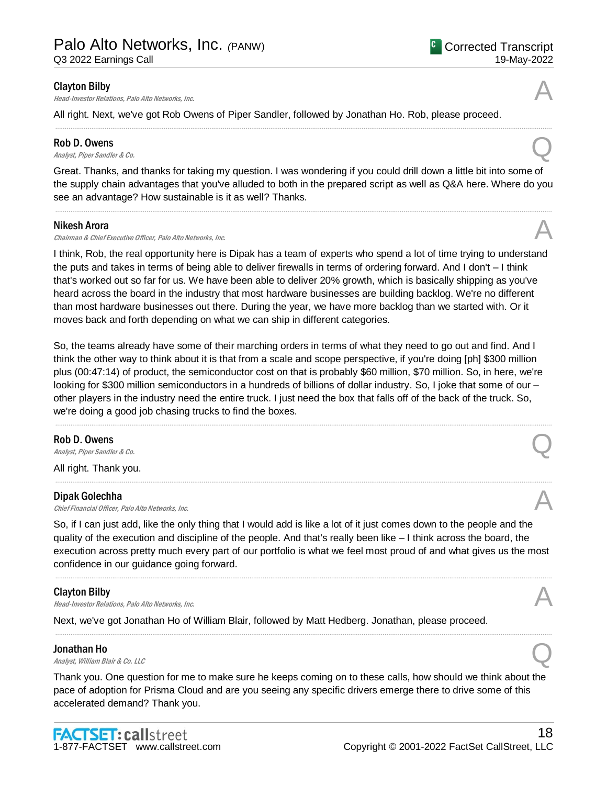**Clayton Bilby**<br>Head-Investor Relations, Palo Alto Networks, Inc.  $\mathcal{A}$ 

All right. Next, we've got Rob Owens of Piper Sandler, followed by Jonathan Ho. Rob, please proceed.

#### Rob D. Owens

**Rob D. Owens**<br>Analyst, Piper Sandler & Co.

Great. Thanks, and thanks for taking my question. I was wondering if you could drill down a little bit into some of the supply chain advantages that you've alluded to both in the prepared script as well as Q&A here. Where do you see an advantage? How sustainable is it as well? Thanks.

.....................................................................................................................................................................................................................................................................

.....................................................................................................................................................................................................................................................................

### Nikesh Arora

Chairman & Chief Executive Officer, Palo Alto Networks, Inc.

I think, Rob, the real opportunity here is Dipak has a team of experts who spend a lot of time trying to understand the puts and takes in terms of being able to deliver firewalls in terms of ordering forward. And I don't – I think that's worked out so far for us. We have been able to deliver 20% growth, which is basically shipping as you've heard across the board in the industry that most hardware businesses are building backlog. We're no different than most hardware businesses out there. During the year, we have more backlog than we started with. Or it moves back and forth depending on what we can ship in different categories.

So, the teams already have some of their marching orders in terms of what they need to go out and find. And I think the other way to think about it is that from a scale and scope perspective, if you're doing [ph] \$300 million plus (00:47:14) of product, the semiconductor cost on that is probably \$60 million, \$70 million. So, in here, we're looking for \$300 million semiconductors in a hundreds of billions of dollar industry. So, I joke that some of our – other players in the industry need the entire truck. I just need the box that falls off of the back of the truck. So, we're doing a good job chasing trucks to find the boxes.

.....................................................................................................................................................................................................................................................................

.....................................................................................................................................................................................................................................................................

#### Rob D. Owens

**Rob D. Owens**<br>Analyst, Piper Sandler & Co.

All right. Thank you.

## Dipak Golechha

**Dipak Golechha**<br>Chief Financial Officer, Palo Alto Networks, Inc.  $\mathcal{A}$ 

So, if I can just add, like the only thing that I would add is like a lot of it just comes down to the people and the quality of the execution and discipline of the people. And that's really been like – I think across the board, the execution across pretty much every part of our portfolio is what we feel most proud of and what gives us the most confidence in our guidance going forward.

.....................................................................................................................................................................................................................................................................

.....................................................................................................................................................................................................................................................................

## Clayton Bilby

**Clayton Bilby**<br>Head-Investor Relations, Palo Alto Networks, Inc.  $\mathcal{A}$ 

Next, we've got Jonathan Ho of William Blair, followed by Matt Hedberg. Jonathan, please proceed.

## Jonathan Ho

**Jonathan Ho**<br>Analyst, William Blair & Co. LLC

Thank you. One question for me to make sure he keeps coming on to these calls, how should we think about the pace of adoption for Prisma Cloud and are you seeing any specific drivers emerge there to drive some of this accelerated demand? Thank you.



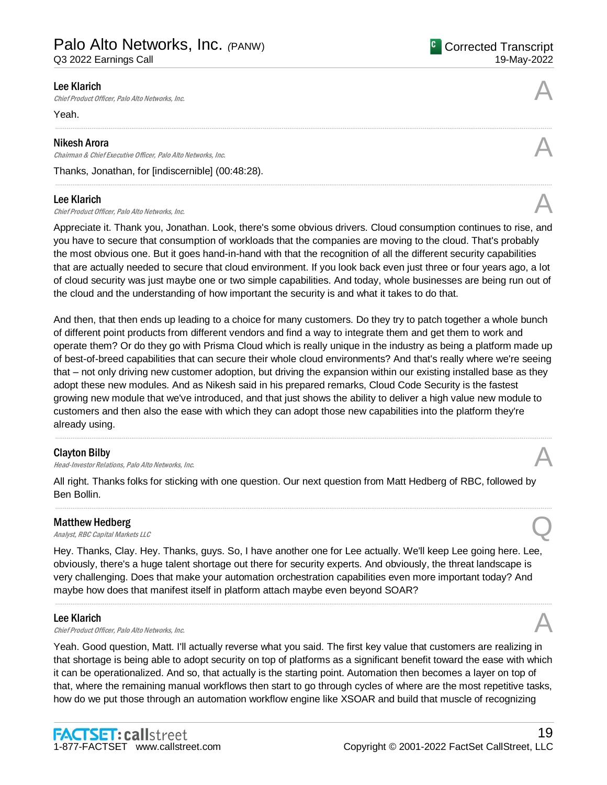**Lee Klarich**<br>Chief Product Officer, Palo Alto Networks, Inc.  $\mathcal{A}$ 

Yeah.

#### Nikesh Arora

Chairman & Chief Executive Officer, Palo Alto Networks, Inc. A

Thanks, Jonathan, for [indiscernible] (00:48:28).

#### Lee Klarich

**Lee Klarich**<br>Chief Product Officer, Palo Alto Networks, Inc.

Appreciate it. Thank you, Jonathan. Look, there's some obvious drivers. Cloud consumption continues to rise, and you have to secure that consumption of workloads that the companies are moving to the cloud. That's probably the most obvious one. But it goes hand-in-hand with that the recognition of all the different security capabilities that are actually needed to secure that cloud environment. If you look back even just three or four years ago, a lot of cloud security was just maybe one or two simple capabilities. And today, whole businesses are being run out of the cloud and the understanding of how important the security is and what it takes to do that.

.....................................................................................................................................................................................................................................................................

.....................................................................................................................................................................................................................................................................

And then, that then ends up leading to a choice for many customers. Do they try to patch together a whole bunch of different point products from different vendors and find a way to integrate them and get them to work and operate them? Or do they go with Prisma Cloud which is really unique in the industry as being a platform made up of best-of-breed capabilities that can secure their whole cloud environments? And that's really where we're seeing that – not only driving new customer adoption, but driving the expansion within our existing installed base as they adopt these new modules. And as Nikesh said in his prepared remarks, Cloud Code Security is the fastest growing new module that we've introduced, and that just shows the ability to deliver a high value new module to customers and then also the ease with which they can adopt those new capabilities into the platform they're already using.

.....................................................................................................................................................................................................................................................................

## Clayton Bilby

**Clayton Bilby**<br>Head-Investor Relations, Palo Alto Networks, Inc.

All right. Thanks folks for sticking with one question. Our next question from Matt Hedberg of RBC, followed by Ben Bollin.

.....................................................................................................................................................................................................................................................................

## Matthew Hedberg

**Matthew Hedberg**<br>Analyst, RBC Capital Markets LLC

Hey. Thanks, Clay. Hey. Thanks, guys. So, I have another one for Lee actually. We'll keep Lee going here. Lee, obviously, there's a huge talent shortage out there for security experts. And obviously, the threat landscape is very challenging. Does that make your automation orchestration capabilities even more important today? And maybe how does that manifest itself in platform attach maybe even beyond SOAR?

.....................................................................................................................................................................................................................................................................

## Lee Klarich

**Lee Klarich**<br>Chief Product Officer, Palo Alto Networks, Inc.  $\mathcal{A}$ 

Yeah. Good question, Matt. I'll actually reverse what you said. The first key value that customers are realizing in that shortage is being able to adopt security on top of platforms as a significant benefit toward the ease with which it can be operationalized. And so, that actually is the starting point. Automation then becomes a layer on top of that, where the remaining manual workflows then start to go through cycles of where are the most repetitive tasks, how do we put those through an automation workflow engine like XSOAR and build that muscle of recognizing

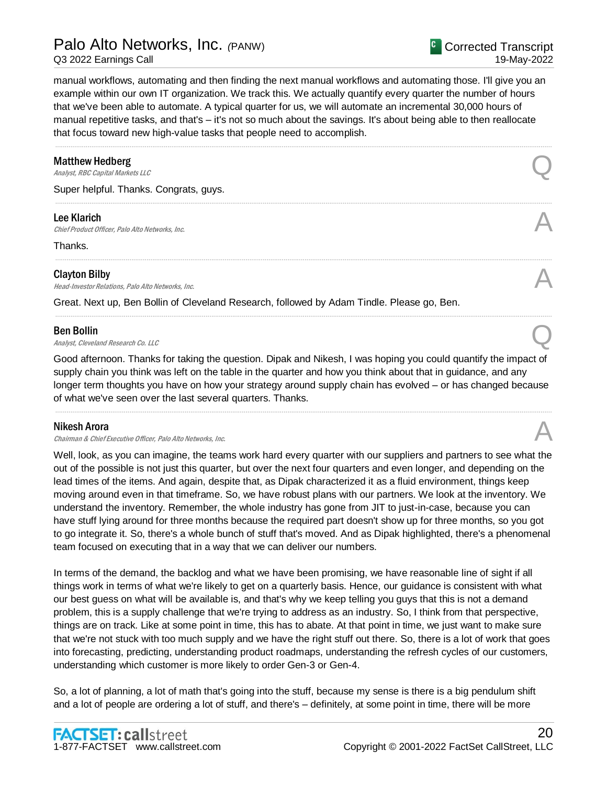manual workflows, automating and then finding the next manual workflows and automating those. I'll give you an example within our own IT organization. We track this. We actually quantify every quarter the number of hours that we've been able to automate. A typical quarter for us, we will automate an incremental 30,000 hours of manual repetitive tasks, and that's – it's not so much about the savings. It's about being able to then reallocate that focus toward new high-value tasks that people need to accomplish.

.....................................................................................................................................................................................................................................................................

.....................................................................................................................................................................................................................................................................

.....................................................................................................................................................................................................................................................................

.....................................................................................................................................................................................................................................................................

### Matthew Hedberg

**Matthew Hedberg**<br>Analyst, RBC Capital Markets LLC

Super helpful. Thanks. Congrats, guys.

#### Lee Klarich

**Lee Klarich**<br>Chief Product Officer, Palo Alto Networks, Inc.

Thanks.

### Clayton Bilby

**Clayton Bilby**<br>Head-Investor Relations, Palo Alto Networks, Inc.  $\mathcal{A}$ 

Great. Next up, Ben Bollin of Cleveland Research, followed by Adam Tindle. Please go, Ben.

## Ben Bollin

**Ben Bollin**<br>Analyst, Cleveland Research Co. LLC

Good afternoon. Thanks for taking the question. Dipak and Nikesh, I was hoping you could quantify the impact of supply chain you think was left on the table in the quarter and how you think about that in guidance, and any longer term thoughts you have on how your strategy around supply chain has evolved – or has changed because of what we've seen over the last several quarters. Thanks.

.....................................................................................................................................................................................................................................................................

#### Nikesh Arora

Chairman & Chief Executive Officer, Palo Alto Networks, Inc.

Well, look, as you can imagine, the teams work hard every quarter with our suppliers and partners to see what the out of the possible is not just this quarter, but over the next four quarters and even longer, and depending on the lead times of the items. And again, despite that, as Dipak characterized it as a fluid environment, things keep moving around even in that timeframe. So, we have robust plans with our partners. We look at the inventory. We understand the inventory. Remember, the whole industry has gone from JIT to just-in-case, because you can have stuff lying around for three months because the required part doesn't show up for three months, so you got to go integrate it. So, there's a whole bunch of stuff that's moved. And as Dipak highlighted, there's a phenomenal team focused on executing that in a way that we can deliver our numbers.

In terms of the demand, the backlog and what we have been promising, we have reasonable line of sight if all things work in terms of what we're likely to get on a quarterly basis. Hence, our guidance is consistent with what our best guess on what will be available is, and that's why we keep telling you guys that this is not a demand problem, this is a supply challenge that we're trying to address as an industry. So, I think from that perspective, things are on track. Like at some point in time, this has to abate. At that point in time, we just want to make sure that we're not stuck with too much supply and we have the right stuff out there. So, there is a lot of work that goes into forecasting, predicting, understanding product roadmaps, understanding the refresh cycles of our customers, understanding which customer is more likely to order Gen-3 or Gen-4.

So, a lot of planning, a lot of math that's going into the stuff, because my sense is there is a big pendulum shift and a lot of people are ordering a lot of stuff, and there's – definitely, at some point in time, there will be more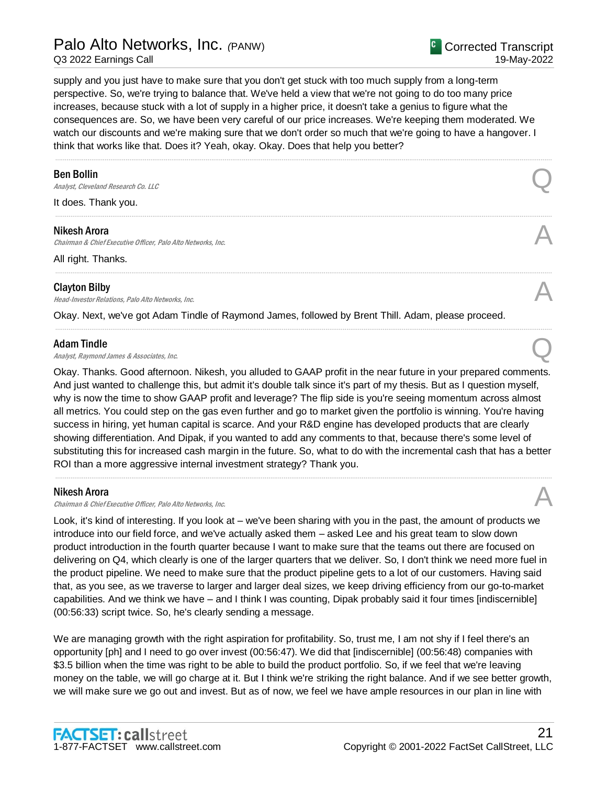# Palo Alto Networks, Inc. *(*PANW)

Q3 2022 Earnings Call

supply and you just have to make sure that you don't get stuck with too much supply from a long-term perspective. So, we're trying to balance that. We've held a view that we're not going to do too many price increases, because stuck with a lot of supply in a higher price, it doesn't take a genius to figure what the consequences are. So, we have been very careful of our price increases. We're keeping them moderated. We watch our discounts and we're making sure that we don't order so much that we're going to have a hangover. I think that works like that. Does it? Yeah, okay. Okay. Does that help you better?

.....................................................................................................................................................................................................................................................................

.....................................................................................................................................................................................................................................................................

.....................................................................................................................................................................................................................................................................

.....................................................................................................................................................................................................................................................................

## Ben Bollin

**Ben Bollin**<br>Analyst, Cleveland Research Co. LLC

It does. Thank you.

#### Nikesh Arora

**Nikesh Arora**<br>Chairman & Chief Executive Officer, Palo Alto Networks, Inc. And the comparation of the chairman & Chief Executive Officer, Palo Alto Networks, Inc.

All right. Thanks.

## Clayton Bilby

**Clayton Bilby**<br>Head-Investor Relations, Palo Alto Networks, Inc.  $\mathcal{A}$ 

Okay. Next, we've got Adam Tindle of Raymond James, followed by Brent Thill. Adam, please proceed.

### Adam Tindle

Adam Tindle<br>Analyst, Raymond James & Associates, Inc.  $\bigotimes$ 

Okay. Thanks. Good afternoon. Nikesh, you alluded to GAAP profit in the near future in your prepared comments. And just wanted to challenge this, but admit it's double talk since it's part of my thesis. But as I question myself, why is now the time to show GAAP profit and leverage? The flip side is you're seeing momentum across almost all metrics. You could step on the gas even further and go to market given the portfolio is winning. You're having success in hiring, yet human capital is scarce. And your R&D engine has developed products that are clearly showing differentiation. And Dipak, if you wanted to add any comments to that, because there's some level of substituting this for increased cash margin in the future. So, what to do with the incremental cash that has a better ROI than a more aggressive internal investment strategy? Thank you.

.....................................................................................................................................................................................................................................................................

#### Nikesh Arora

Chairman & Chief Executive Officer, Palo Alto Networks, Inc.

Look, it's kind of interesting. If you look at – we've been sharing with you in the past, the amount of products we introduce into our field force, and we've actually asked them – asked Lee and his great team to slow down product introduction in the fourth quarter because I want to make sure that the teams out there are focused on delivering on Q4, which clearly is one of the larger quarters that we deliver. So, I don't think we need more fuel in the product pipeline. We need to make sure that the product pipeline gets to a lot of our customers. Having said that, as you see, as we traverse to larger and larger deal sizes, we keep driving efficiency from our go-to-market capabilities. And we think we have – and I think I was counting, Dipak probably said it four times [indiscernible] (00:56:33) script twice. So, he's clearly sending a message.

We are managing growth with the right aspiration for profitability. So, trust me, I am not shy if I feel there's an opportunity [ph] and I need to go over invest (00:56:47). We did that [indiscernible] (00:56:48) companies with \$3.5 billion when the time was right to be able to build the product portfolio. So, if we feel that we're leaving money on the table, we will go charge at it. But I think we're striking the right balance. And if we see better growth, we will make sure we go out and invest. But as of now, we feel we have ample resources in our plan in line with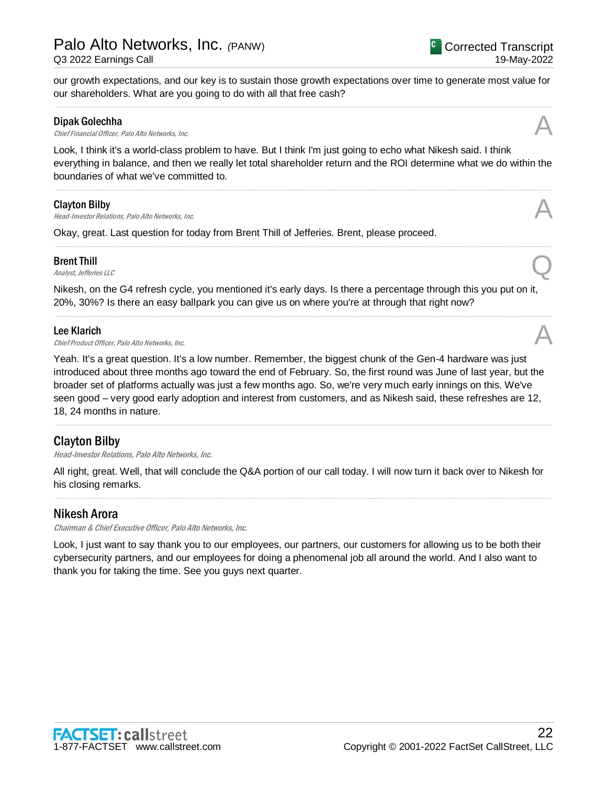our growth expectations, and our key is to sustain those growth expectations over time to generate most value for our shareholders. What are you going to do with all that free cash? .....................................................................................................................................................................................................................................................................

## Dipak Golechha

**Dipak Golechha**<br>Chief Financial Officer, Palo Alto Networks, Inc.  $\mathcal{A}$ 

Look, I think it's a world-class problem to have. But I think I'm just going to echo what Nikesh said. I think everything in balance, and then we really let total shareholder return and the ROI determine what we do within the boundaries of what we've committed to.

.....................................................................................................................................................................................................................................................................

.....................................................................................................................................................................................................................................................................

## Clayton Bilby

**Clayton Bilby**<br>Head-Investor Relations, Palo Alto Networks, Inc.  $\mathcal{A}$ 

Okay, great. Last question for today from Brent Thill of Jefferies. Brent, please proceed.

## Brent Thill

**Brent Thill**<br>Analyst, Jefferies LLC

Nikesh, on the G4 refresh cycle, you mentioned it's early days. Is there a percentage through this you put on it, 20%, 30%? Is there an easy ballpark you can give us on where you're at through that right now?

.....................................................................................................................................................................................................................................................................

## Lee Klarich

**Lee Klarich**<br>Chief Product Officer, Palo Alto Networks, Inc.  $\mathcal{A}$ 

Yeah. It's a great question. It's a low number. Remember, the biggest chunk of the Gen-4 hardware was just introduced about three months ago toward the end of February. So, the first round was June of last year, but the broader set of platforms actually was just a few months ago. So, we're very much early innings on this. We've seen good – very good early adoption and interest from customers, and as Nikesh said, these refreshes are 12, 18, 24 months in nature.

.....................................................................................................................................................................................................................................................................

# Clayton Bilby

Head-Investor Relations, Palo Alto Networks, Inc.

All right, great. Well, that will conclude the Q&A portion of our call today. I will now turn it back over to Nikesh for his closing remarks.

.....................................................................................................................................................................................................................................................................

# Nikesh Arora

Chairman & Chief Executive Officer, Palo Alto Networks, Inc.

Look, I just want to say thank you to our employees, our partners, our customers for allowing us to be both their cybersecurity partners, and our employees for doing a phenomenal job all around the world. And I also want to thank you for taking the time. See you guys next quarter.